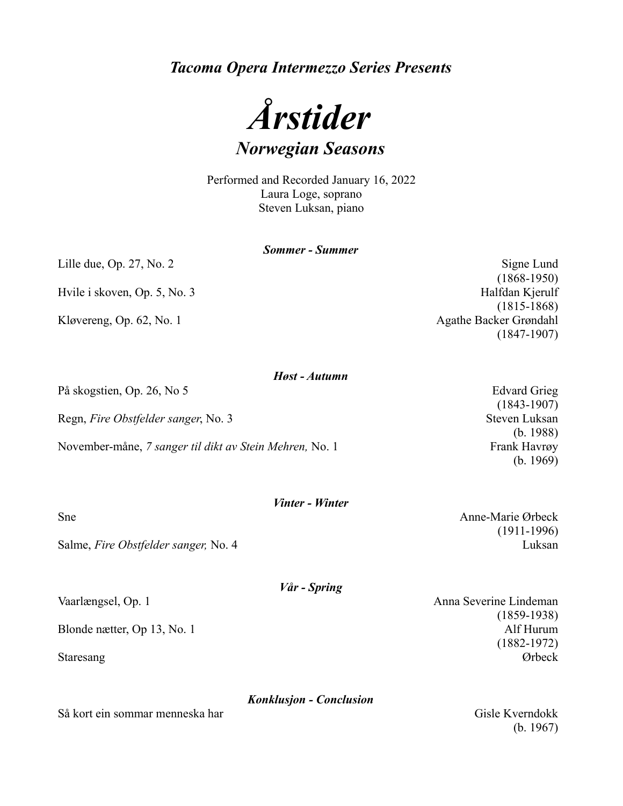*Tacoma Opera Intermezzo Series Presents*



Performed and Recorded January 16, 2022 Laura Loge, soprano Steven Luksan, piano

|                              | <b>Sommer - Summer</b> |
|------------------------------|------------------------|
| Lille due, Op. 27, No. 2     | Signe Lund             |
|                              | $(1868-1950)$          |
| Hvile i skoven, Op. 5, No. 3 | Halfdan Kjerulf        |
|                              | $(1815-1868)$          |
| Kløvereng, Op. 62, No. 1     | Agathe Backer Grøndahl |
|                              | $(1847-1907)$          |

| På skogstien, Op. 26, No 5                              | <b>Edvard Grieg</b>            |
|---------------------------------------------------------|--------------------------------|
| Regn, Fire Obstfelder sanger, No. 3                     | $(1843-1907)$<br>Steven Luksan |
| November-måne, 7 sanger til dikt av Stein Mehren, No. 1 | (b. 1988)<br>Frank Havrøy      |
|                                                         | (b. 1969)                      |

*Høst - Autumn*

Salme, *Fire Obstfelder sanger*, No. 4 Luksan

Så kort ein sommar menneska har Gisle Kverndokk

Vaarlængsel, Op. 1 Anna Severine Lindeman (1859-1938) Blonde nætter, Op 13, No. 1 Alf Hurum (1882-1972) Staresang Ørbeck

(b. 1967)

(1911-1996)

## *Vinter - Winter*

Sne Anne-Marie Ørbeck

*Vår - Spring*

*Konklusjon - Conclusion*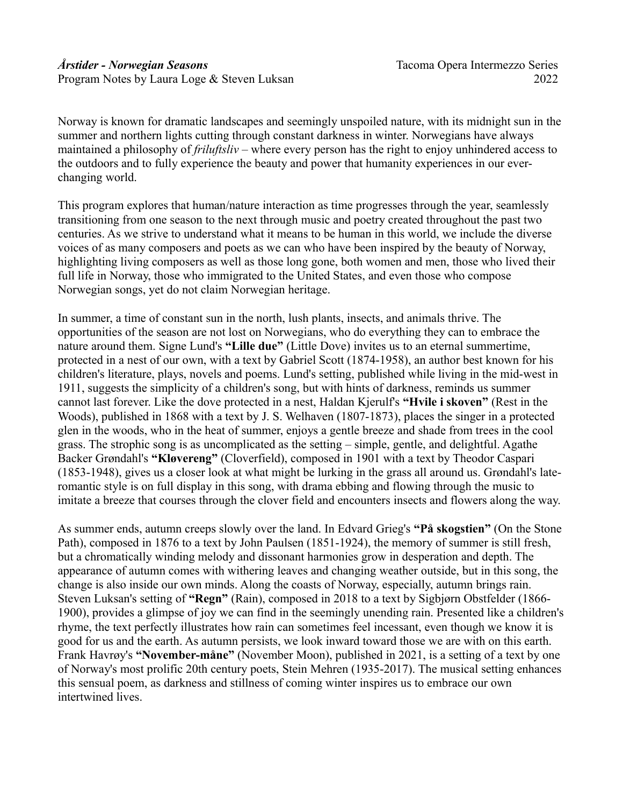Norway is known for dramatic landscapes and seemingly unspoiled nature, with its midnight sun in the summer and northern lights cutting through constant darkness in winter. Norwegians have always maintained a philosophy of *friluftsliv* – where every person has the right to enjoy unhindered access to the outdoors and to fully experience the beauty and power that humanity experiences in our everchanging world.

This program explores that human/nature interaction as time progresses through the year, seamlessly transitioning from one season to the next through music and poetry created throughout the past two centuries. As we strive to understand what it means to be human in this world, we include the diverse voices of as many composers and poets as we can who have been inspired by the beauty of Norway, highlighting living composers as well as those long gone, both women and men, those who lived their full life in Norway, those who immigrated to the United States, and even those who compose Norwegian songs, yet do not claim Norwegian heritage.

In summer, a time of constant sun in the north, lush plants, insects, and animals thrive. The opportunities of the season are not lost on Norwegians, who do everything they can to embrace the nature around them. Signe Lund's **"Lille due"** (Little Dove) invites us to an eternal summertime, protected in a nest of our own, with a text by Gabriel Scott (1874-1958), an author best known for his children's literature, plays, novels and poems. Lund's setting, published while living in the mid-west in 1911, suggests the simplicity of a children's song, but with hints of darkness, reminds us summer cannot last forever. Like the dove protected in a nest, Haldan Kjerulf's **"Hvile i skoven"** (Rest in the Woods), published in 1868 with a text by J. S. Welhaven (1807-1873), places the singer in a protected glen in the woods, who in the heat of summer, enjoys a gentle breeze and shade from trees in the cool grass. The strophic song is as uncomplicated as the setting – simple, gentle, and delightful. Agathe Backer Grøndahl's **"Kløvereng"** (Cloverfield), composed in 1901 with a text by Theodor Caspari (1853-1948), gives us a closer look at what might be lurking in the grass all around us. Grøndahl's lateromantic style is on full display in this song, with drama ebbing and flowing through the music to imitate a breeze that courses through the clover field and encounters insects and flowers along the way.

As summer ends, autumn creeps slowly over the land. In Edvard Grieg's **"På skogstien"** (On the Stone Path), composed in 1876 to a text by John Paulsen (1851-1924), the memory of summer is still fresh, but a chromatically winding melody and dissonant harmonies grow in desperation and depth. The appearance of autumn comes with withering leaves and changing weather outside, but in this song, the change is also inside our own minds. Along the coasts of Norway, especially, autumn brings rain. Steven Luksan's setting of **"Regn"** (Rain), composed in 2018 to a text by Sigbjørn Obstfelder (1866- 1900), provides a glimpse of joy we can find in the seemingly unending rain. Presented like a children's rhyme, the text perfectly illustrates how rain can sometimes feel incessant, even though we know it is good for us and the earth. As autumn persists, we look inward toward those we are with on this earth. Frank Havrøy's **"November-måne"** (November Moon), published in 2021, is a setting of a text by one of Norway's most prolific 20th century poets, Stein Mehren (1935-2017). The musical setting enhances this sensual poem, as darkness and stillness of coming winter inspires us to embrace our own intertwined lives.